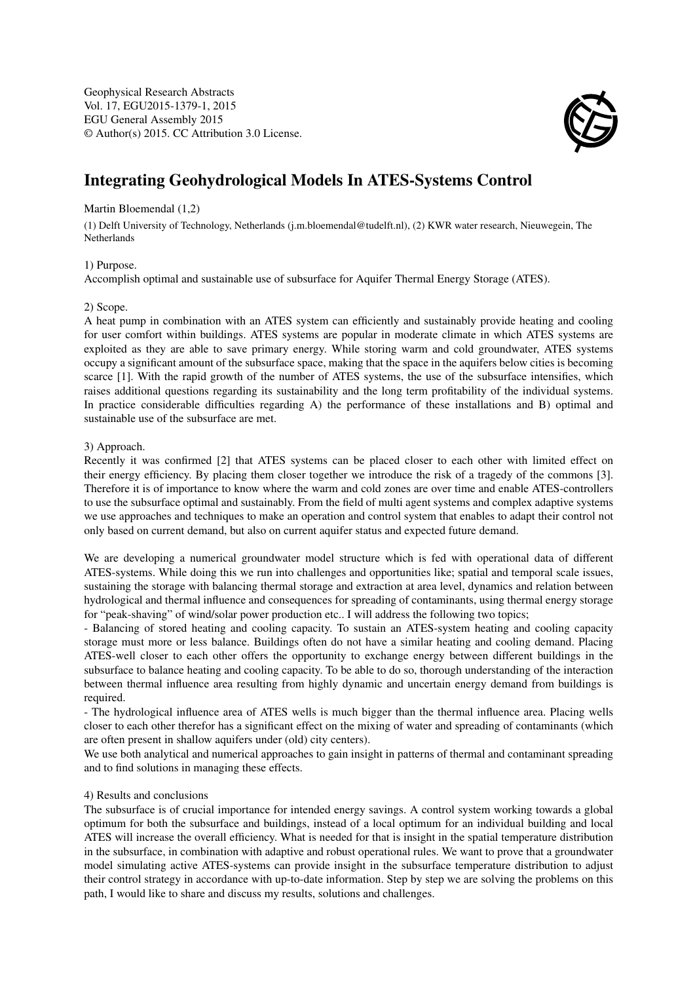Geophysical Research Abstracts Vol. 17, EGU2015-1379-1, 2015 EGU General Assembly 2015 © Author(s) 2015. CC Attribution 3.0 License.



# Integrating Geohydrological Models In ATES-Systems Control

#### Martin Bloemendal (1,2)

(1) Delft University of Technology, Netherlands (j.m.bloemendal@tudelft.nl), (2) KWR water research, Nieuwegein, The Netherlands

# 1) Purpose.

Accomplish optimal and sustainable use of subsurface for Aquifer Thermal Energy Storage (ATES).

## 2) Scope.

A heat pump in combination with an ATES system can efficiently and sustainably provide heating and cooling for user comfort within buildings. ATES systems are popular in moderate climate in which ATES systems are exploited as they are able to save primary energy. While storing warm and cold groundwater, ATES systems occupy a significant amount of the subsurface space, making that the space in the aquifers below cities is becoming scarce [1]. With the rapid growth of the number of ATES systems, the use of the subsurface intensifies, which raises additional questions regarding its sustainability and the long term profitability of the individual systems. In practice considerable difficulties regarding A) the performance of these installations and B) optimal and sustainable use of the subsurface are met.

## 3) Approach.

Recently it was confirmed [2] that ATES systems can be placed closer to each other with limited effect on their energy efficiency. By placing them closer together we introduce the risk of a tragedy of the commons [3]. Therefore it is of importance to know where the warm and cold zones are over time and enable ATES-controllers to use the subsurface optimal and sustainably. From the field of multi agent systems and complex adaptive systems we use approaches and techniques to make an operation and control system that enables to adapt their control not only based on current demand, but also on current aquifer status and expected future demand.

We are developing a numerical groundwater model structure which is fed with operational data of different ATES-systems. While doing this we run into challenges and opportunities like; spatial and temporal scale issues, sustaining the storage with balancing thermal storage and extraction at area level, dynamics and relation between hydrological and thermal influence and consequences for spreading of contaminants, using thermal energy storage for "peak-shaving" of wind/solar power production etc.. I will address the following two topics;

- Balancing of stored heating and cooling capacity. To sustain an ATES-system heating and cooling capacity storage must more or less balance. Buildings often do not have a similar heating and cooling demand. Placing ATES-well closer to each other offers the opportunity to exchange energy between different buildings in the subsurface to balance heating and cooling capacity. To be able to do so, thorough understanding of the interaction between thermal influence area resulting from highly dynamic and uncertain energy demand from buildings is required.

- The hydrological influence area of ATES wells is much bigger than the thermal influence area. Placing wells closer to each other therefor has a significant effect on the mixing of water and spreading of contaminants (which are often present in shallow aquifers under (old) city centers).

We use both analytical and numerical approaches to gain insight in patterns of thermal and contaminant spreading and to find solutions in managing these effects.

#### 4) Results and conclusions

The subsurface is of crucial importance for intended energy savings. A control system working towards a global optimum for both the subsurface and buildings, instead of a local optimum for an individual building and local ATES will increase the overall efficiency. What is needed for that is insight in the spatial temperature distribution in the subsurface, in combination with adaptive and robust operational rules. We want to prove that a groundwater model simulating active ATES-systems can provide insight in the subsurface temperature distribution to adjust their control strategy in accordance with up-to-date information. Step by step we are solving the problems on this path, I would like to share and discuss my results, solutions and challenges.